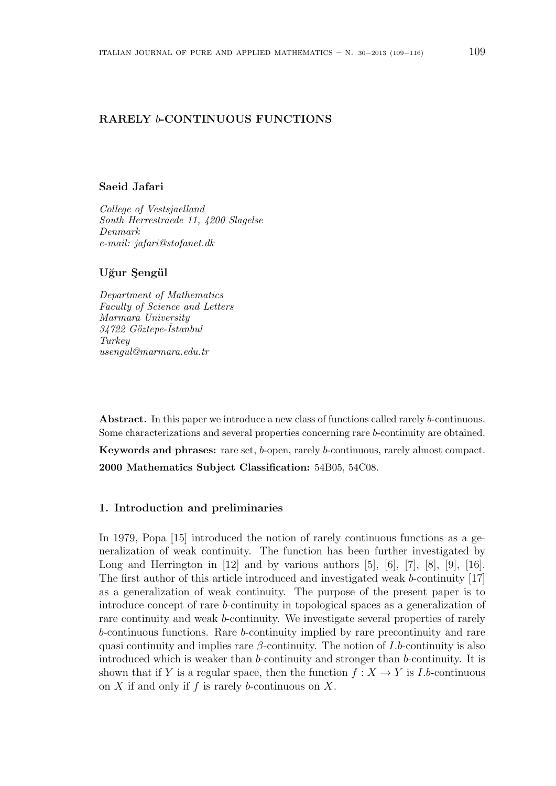# **RARELY** *b***-CONTINUOUS FUNCTIONS**

#### **Saeid Jafari**

*College of Vestsjaelland South Herrestraede 11, 4200 Slagelse Denmark e-mail: jafari@stofanet.dk*

# Uğur Şengül

*Department of Mathematics Faculty of Science and Letters Marmara University 34722 G¨oztepe-˙Istanbul Turkey usengul@marmara.edu.tr*

**Abstract.** In this paper we introduce a new class of functions called rarely *b*-continuous. Some characterizations and several properties concerning rare *b*-continuity are obtained.

**Keywords and phrases:** rare set, *b*-open, rarely *b*-continuous, rarely almost compact. **2000 Mathematics Subject Classification:** 54B05, 54C08.

## **1. Introduction and preliminaries**

In 1979, Popa [15] introduced the notion of rarely continuous functions as a generalization of weak continuity. The function has been further investigated by Long and Herrington in  $[12]$  and by various authors  $[5]$ ,  $[6]$ ,  $[7]$ ,  $[8]$ ,  $[9]$ ,  $[16]$ . The first author of this article introduced and investigated weak *b*-continuity [17] as a generalization of weak continuity. The purpose of the present paper is to introduce concept of rare *b*-continuity in topological spaces as a generalization of rare continuity and weak *b*-continuity. We investigate several properties of rarely *b*-continuous functions. Rare *b*-continuity implied by rare precontinuity and rare quasi continuity and implies rare  $\beta$ -continuity. The notion of *I*.*b*-continuity is also introduced which is weaker than *b*-continuity and stronger than *b*-continuity. It is shown that if *Y* is a regular space, then the function  $f: X \to Y$  is *I.b*-continuous on *X* if and only if *f* is rarely *b*-continuous on *X*.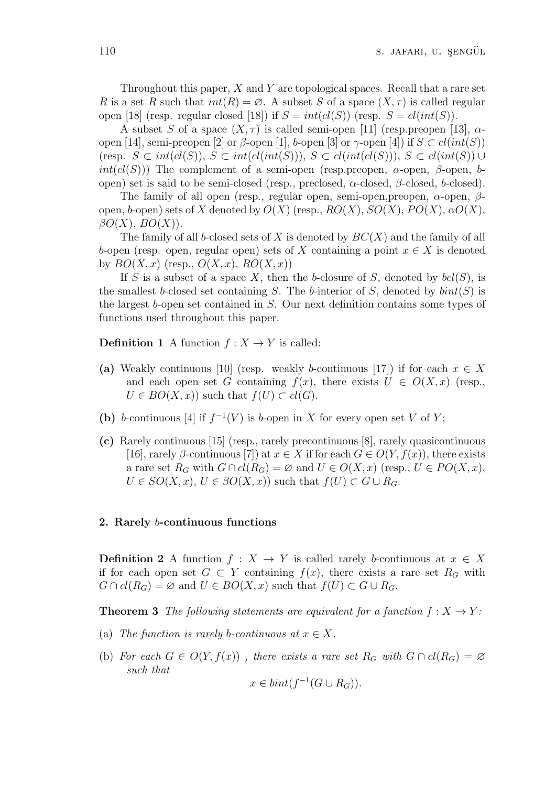Throughout this paper, *X* and *Y* are topological spaces. Recall that a rare set *R* is a set *R* such that  $int(R) = \emptyset$ . A subset *S* of a space  $(X, \tau)$  is called regular open [18] (resp. regular closed [18]) if  $S = int(cl(S))$  (resp.  $S = cl(int(S))$ .

A subset *S* of a space  $(X, \tau)$  is called semi-open [11] (resp.preopen [13],  $\alpha$ open [14], semi-preopen [2] or  $\beta$ -open [1], *b*-open [3] or  $\gamma$ -open [4]) if  $S \subset cl(int(S))$ (resp.  $S \subset int(cl(S)), S \subset int(cl(int(S))), S \subset cl(int(cl(S))), S \subset cl(int(S)) \cup$  $int(cl(S))$ ) The complement of a semi-open (resp.preopen, *α*-open, *β*-open, *b*open) set is said to be semi-closed (resp., preclosed, *α*-closed, *β*-closed, *b*-closed).

The family of all open (resp., regular open, semi-open,preopen, *α*-open, *β*open, *b*-open) sets of *X* denoted by  $O(X)$  (resp.,  $RO(X)$ ,  $SO(X)$ ,  $PO(X)$ ,  $\alpha O(X)$ ,  $\beta O(X)$ ,  $BO(X)$ ).

The family of all *b*-closed sets of *X* is denoted by *BC*(*X*) and the family of all *b*-open (resp. open, regular open) sets of *X* containing a point  $x \in X$  is denoted by  $BO(X, x)$  (resp.,  $O(X, x)$ ,  $RO(X, x)$ )

If *S* is a subset of a space *X*, then the *b*-closure of *S*, denoted by  $\text{bcl}(S)$ , is the smallest *b*-closed set containing *S*. The *b*-interior of *S*, denoted by  $\text{bint}(S)$  is the largest *b*-open set contained in *S*. Our next definition contains some types of functions used throughout this paper.

**Definition 1** A function  $f: X \to Y$  is called:

- **(a)** Weakly continuous [10] (resp. weakly *b*-continuous [17]) if for each  $x \in X$ and each open set *G* containing  $f(x)$ , there exists  $U \in O(X, x)$  (resp.,  $U \in BO(X, x)$  such that  $f(U) \subset cl(G)$ .
- (b) *b*-continuous [4] if  $f^{-1}(V)$  is *b*-open in *X* for every open set *V* of *Y*;
- **(c)** Rarely continuous [15] (resp., rarely precontinuous [8], rarely quasicontinuous [16], rarely *β*-continuous [7]) at  $x \in X$  if for each  $G \in O(Y, f(x))$ , there exists a rare set  $R_G$  with  $G \cap cl(R_G) = \emptyset$  and  $U \in O(X, x)$  (resp.,  $U \in PO(X, x)$ ,  $U \in SO(X, x)$ ,  $U \in \beta O(X, x)$ ) such that  $f(U) \subset G \cup R_G$ .

### **2. Rarely** *b***-continuous functions**

**Definition 2** A function  $f: X \to Y$  is called rarely *b*-continuous at  $x \in X$ if for each open set  $G \subset Y$  containing  $f(x)$ , there exists a rare set  $R_G$  with *G* ∩  $cl(R_G) = \emptyset$  and  $U \in BO(X, x)$  such that  $f(U) \subset G \cup R_G$ .

**Theorem 3** *The following statements are equivalent for a function*  $f: X \rightarrow Y$ :

- (a) *The function is rarely b-continuous at*  $x \in X$ .
- (b) For each  $G \in O(Y, f(x))$ , there exists a rare set  $R_G$  with  $G \cap cl(R_G) = \emptyset$ *such that −*1

$$
x \in bint(f^{-1}(G \cup R_G)).
$$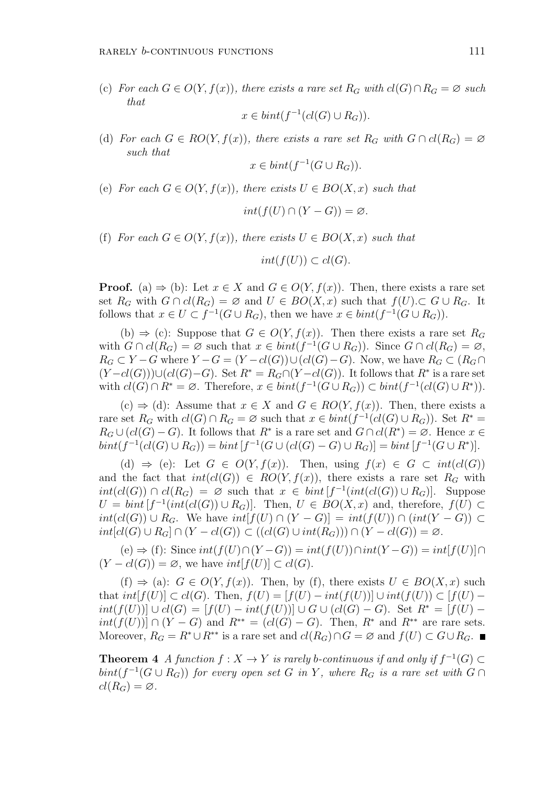(c) *For each*  $G \in O(Y, f(x))$ *, there exists a rare set*  $R_G$  *with*  $cl(G) ∩ R_G = ∅$  *such that*

$$
x \in bint(f^{-1}(cl(G) \cup R_G)).
$$

(d) For each  $G \in RO(Y, f(x))$ , there exists a rare set  $R_G$  with  $G \cap cl(R_G) = \emptyset$ *such that*

$$
x \in bint(f^{-1}(G \cup R_G)).
$$

(e) *For each*  $G \in O(Y, f(x))$ *, there exists*  $U \in BO(X, x)$  *such that* 

$$
int(f(U) \cap (Y - G)) = \varnothing.
$$

(f) *For each*  $G \in O(Y, f(x))$ *, there exists*  $U \in BO(X, x)$  *such that* 

$$
int(f(U)) \subset cl(G).
$$

**Proof.** (a)  $\Rightarrow$  (b): Let  $x \in X$  and  $G \in O(Y, f(x))$ . Then, there exists a rare set set  $R_G$  with  $G \cap cl(R_G) = \emptyset$  and  $U \in BO(X, x)$  such that  $f(U) \subset G \cup R_G$ . It follows that  $x \in U \subset f^{-1}(G \cup R_G)$ , then we have  $x \in \text{bint}(f^{-1}(G \cup R_G))$ .

(b)  $\Rightarrow$  (c): Suppose that  $G \in O(Y, f(x))$ . Then there exists a rare set  $R_G$ with  $G \cap cl(R_G) = \emptyset$  such that  $x \in bint(f^{-1}(G \cup R_G))$ . Since  $G \cap cl(R_G) = \emptyset$ ,  $R_G \subset Y - G$  where  $Y - G = (Y - cl(G)) \cup (cl(G) - G)$ . Now, we have  $R_G \subset (R_G \cap G)$  $(Y - cl(G))$ )∪( $cl(G) - G$ ). Set  $R^* = R_G ∩ (Y - cl(G))$ . It follows that  $R^*$  is a rare set with  $cl(G) \cap R^* = \emptyset$ . Therefore,  $x \in bint(f^{-1}(G \cup R_G)) \subset bint(f^{-1}(cl(G) \cup R^*)).$ 

(c)  $\Rightarrow$  (d): Assume that *x* ∈ *X* and *G* ∈ *RO*(*Y*, *f*(*x*)). Then, there exists a rare set  $R_G$  with  $cl(G) \cap R_G = \emptyset$  such that  $x \in bint(f^{-1}(cl(G) \cup R_G))$ . Set  $R^* =$  $R_G \cup (cl(G) - G)$ . It follows that  $R^*$  is a rare set and  $G \cap cl(R^*) = \emptyset$ . Hence  $x \in$  $bint(f^{-1}(cl(G) \cup R_G)) = bint [f^{-1}(G \cup (cl(G)-G) \cup R_G)] = bint [f^{-1}(G \cup R^*)].$ 

(d)  $\Rightarrow$  (e): Let  $G \in O(Y, f(x))$ . Then, using  $f(x) \in G \subset int(cl(G))$ and the fact that  $int(cl(G)) \in RO(Y, f(x))$ , there exists a rare set  $R_G$  with *int*(*cl*(*G*))  $\cap$  *cl*(*R<sub>G</sub>*) = ∅ such that  $x \in \text{bint}[f^{-1}(\text{int}(cl(G)) \cup R_G)]$ . Suppose  $U = \text{bint}\left[f^{-1}(\text{int}(cl(G)) \cup R_G)\right]$ . Then,  $U \in BO(X, x)$  and, therefore,  $f(U) \subset$  $int(cl(G)) \cup R_G$ . We have  $int[f(U) \cap (Y - G)] = int(f(U)) \cap (int(Y - G)) \subset$  $int[cl(G) \cup R_G] \cap (Y-cl(G)) \subset ( (cl(G) \cup int(R_G))) \cap (Y-cl(G)) = \varnothing.$ 

(e) *⇒* (f): Since *int*(*f*(*U*)*∩*(*Y −G*)) = *int*(*f*(*U*))*∩int*(*Y −G*)) = *int*[*f*(*U*)]*∩*  $(Y - cl(G)) = ∅$ , we have  $int[f(U)] ⊂ cl(G)$ .

 $(f)$   $\Rightarrow$  (a): *G* ∈ *O*(*Y, f(x)*). Then, by (*f),* there exists *U* ∈ *BO*(*X, x*) such that  $int[f(U)] \subset cl(G)$ . Then,  $f(U) = [f(U) - int(f(U))] \cup int(f(U)) \subset [f(U)$  $int(f(U))|\cup cl(G) = [f(U) - int(f(U))] \cup G \cup (cl(G) - G)$ . Set  $R^* = [f(U)$ *int*(*f*(*U*))] ∩ (*Y* − *G*) and  $R^{**} = (cl(G) – G)$ . Then,  $R^*$  and  $R^{**}$  are rare sets. Moreover,  $R_G = R^* \cup R^{**}$  is a rare set and  $cl(R_G) \cap G = \emptyset$  and  $f(U) \subset G \cup R_G$ .

**Theorem 4** *A* function  $f: X \to Y$  is rarely *b*-continuous if and only if  $f^{-1}(G) \subset$  $\phi$ *hint*(*f*<sup>-1</sup>( $G \cup R_G$ )) *for every open set G in Y*, where  $R_G$  *is a rare set with*  $G \cap R_G$  $cl(R_G) = \emptyset$ .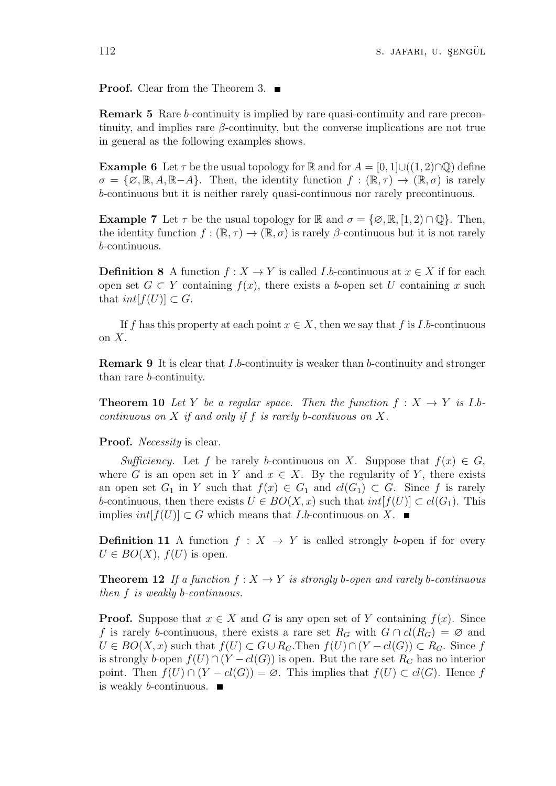**Proof.** Clear from the Theorem 3. ■

**Remark 5** Rare *b*-continuity is implied by rare quasi-continuity and rare precontinuity, and implies rare *β*-continuity, but the converse implications are not true in general as the following examples shows.

**Example 6** Let  $\tau$  be the usual topology for R and for  $A = [0, 1] \cup (1, 2) \cap \mathbb{Q}$  define  $\sigma = {\emptyset, \mathbb{R}, A, \mathbb{R} - A}$ . Then, the identity function  $f : (\mathbb{R}, \tau) \to (\mathbb{R}, \sigma)$  is rarely *b*-continuous but it is neither rarely quasi-continuous nor rarely precontinuous.

**Example 7** Let  $\tau$  be the usual topology for R and  $\sigma = {\emptyset, \mathbb{R}, [1, 2) \cap \mathbb{Q}}$ . Then, the identity function  $f : (\mathbb{R}, \tau) \to (\mathbb{R}, \sigma)$  is rarely *β*-continuous but it is not rarely *b*-continuous.

**Definition 8** A function  $f: X \to Y$  is called *I.b*-continuous at  $x \in X$  if for each open set  $G \subset Y$  containing  $f(x)$ , there exists a *b*-open set *U* containing *x* such that  $int[f(U)] \subset G$ .

If f has this property at each point  $x \in X$ , then we say that f is *I.b*-continuous on *X*.

**Remark 9** It is clear that *I.b*-continuity is weaker than *b*-continuity and stronger than rare *b*-continuity.

**Theorem 10** Let Y be a regular space. Then the function  $f: X \to Y$  is I.b*continuous on X if and only if f is rarely b-contiuous on X.*

**Proof.** *Necessity* is clear.

*Sufficiency.* Let *f* be rarely *b*-continuous on *X*. Suppose that  $f(x) \in G$ , where *G* is an open set in *Y* and  $x \in X$ . By the regularity of *Y*, there exists an open set  $G_1$  in *Y* such that  $f(x) \in G_1$  and  $cl(G_1) \subset G$ . Since f is rarely *b*-continuous, then there exists  $U \in BO(X, x)$  such that  $int[f(U)] \subset cl(G_1)$ . This implies  $int[f(U)] \subset G$  which means that *I.b*-continuous on *X*. ■

**Definition 11** A function  $f: X \rightarrow Y$  is called strongly *b*-open if for every  $U \in BO(X)$ ,  $f(U)$  is open.

**Theorem 12** If a function  $f: X \to Y$  is strongly b-open and rarely b-continuous *then f is weakly b-continuous.*

**Proof.** Suppose that  $x \in X$  and *G* is any open set of *Y* containing  $f(x)$ . Since *f* is rarely *b*-continuous, there exists a rare set  $R_G$  with  $G \cap cl(R_G) = \emptyset$  and  $U \in BO(X, x)$  such that  $f(U) \subset G \cup R_G$ . Then  $f(U) \cap (Y - cl(G)) \subset R_G$ . Since f is strongly *b*-open  $f(U) \cap (Y - cl(G))$  is open. But the rare set  $R_G$  has no interior point. Then  $f(U) \cap (Y - cl(G)) = \emptyset$ . This implies that  $f(U) \subset cl(G)$ . Hence *f* is weakly *b*-continuous.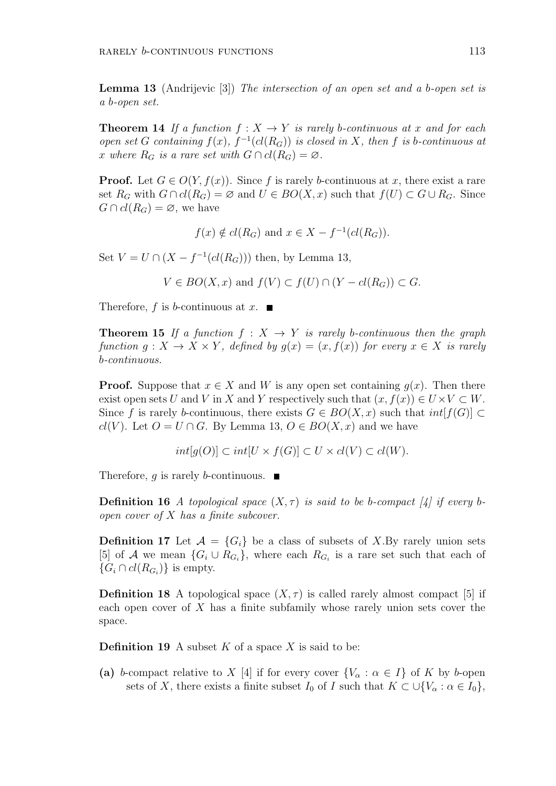**Lemma 13** (Andrijevic [3]) *The intersection of an open set and a b-open set is a b-open set.*

**Theorem 14** If a function  $f: X \to Y$  is rarely b-continuous at x and for each *open set G containing*  $f(x)$ *,*  $f^{-1}(cl(R_G))$  *is closed in X, then f is b*-*continuous at x* where  $R_G$  *is a rare set with*  $G \cap cl(R_G) = \emptyset$ .

**Proof.** Let  $G \in O(Y, f(x))$ . Since f is rarely *b*-continuous at x, there exist a rare set  $R_G$  with  $G \cap cl(R_G) = \emptyset$  and  $U \in BO(X, x)$  such that  $f(U) \subset G \cup R_G$ . Since  $G \cap cl(R_G) = \emptyset$ , we have

 $f(x) \notin cl(R_G)$  and  $x \in X - f^{-1}(cl(R_G)).$ 

Set  $V = U \cap (X - f^{-1}(cl(R_G)))$  then, by Lemma 13,

$$
V \in BO(X, x) \text{ and } f(V) \subset f(U) \cap (Y - cl(R_G)) \subset G.
$$

Therefore,  $f$  is  $b$ -continuous at  $x$ .

**Theorem 15** *If a function*  $f : X \rightarrow Y$  *is rarely b*-*continuous then the graph function*  $g: X \to X \times Y$ , defined by  $g(x) = (x, f(x))$  for every  $x \in X$  *is rarely b-continuous.*

**Proof.** Suppose that  $x \in X$  and W is any open set containing  $q(x)$ . Then there exist open sets *U* and *V* in *X* and *Y* respectively such that  $(x, f(x)) \in U \times V \subset W$ . Since *f* is rarely *b*-continuous, there exists  $G \in BO(X, x)$  such that  $int[f(G)] \subset$ *cl*(*V*). Let *O* = *U* ∩ *G*. By Lemma 13, *O* ∈ *BO*(*X, x*) and we have

$$
int[g(O)] \subset int[U \times f(G)] \subset U \times cl(V) \subset cl(W).
$$

Therefore, *g* is rarely *b*-continuous.

**Definition 16** *A topological space*  $(X, \tau)$  *is said to be b-compact* [4] *if every bopen cover of X has a finite subcover.*

**Definition 17** Let  $\mathcal{A} = \{G_i\}$  be a class of subsets of *X*.By rarely union sets [5] of *A* we mean  $\{G_i \cup R_{G_i}\}$ , where each  $R_{G_i}$  is a rare set such that each of  ${G_i \cap cl(R_{G_i})}$  is empty.

**Definition 18** A topological space  $(X, \tau)$  is called rarely almost compact [5] if each open cover of *X* has a finite subfamily whose rarely union sets cover the space.

**Definition 19** A subset  $K$  of a space  $X$  is said to be:

**(a)** *b*-compact relative to *X* [4] if for every cover  $\{V_\alpha : \alpha \in I\}$  of *K* by *b*-open sets of *X*, there exists a finite subset *I*<sub>0</sub> of *I* such that  $K \subset \bigcup \{V_\alpha : \alpha \in I_0\}$ ,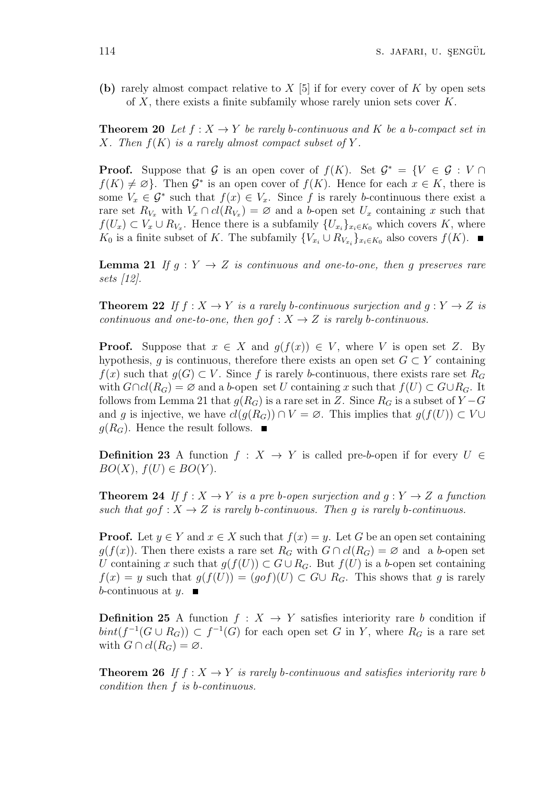**(b)** rarely almost compact relative to *X* [5] if for every cover of *K* by open sets of *X*, there exists a finite subfamily whose rarely union sets cover *K*.

**Theorem 20** Let  $f: X \to Y$  be rarely b-continuous and K be a b-compact set in *X.* Then  $f(K)$  *is a rarely almost compact subset of*  $Y$ *.* 

**Proof.** Suppose that *G* is an open cover of  $f(K)$ . Set  $G^* = \{V \in G : V \cap V\}$  $f(K) \neq \emptyset$ . Then  $\mathcal{G}^*$  is an open cover of  $f(K)$ . Hence for each  $x \in K$ , there is some  $V_x \in \mathcal{G}^*$  such that  $f(x) \in V_x$ . Since f is rarely *b*-continuous there exist a rare set  $R_{V_x}$  with  $V_x \cap cl(R_{V_x}) = \emptyset$  and a *b*-open set  $U_x$  containing *x* such that *f*(*U<sub>x</sub>*) ⊂ *V<sub>x</sub>* ∪ *R*<sub>*V<sub>x</sub>*</sub>. Hence there is a subfamily  $\{U_{x_i}\}_{x_i \in K_0}$  which covers *K*, where *K*<sup>0</sup> is a finite subset of *K*. The subfamily  ${V_{x_i} \cup R_{V_{x_i}}}_{x_i \in K_0}$  also covers  $f(K)$ .

**Lemma 21** *If*  $g: Y \to Z$  *is continuous and one-to-one, then g preserves rare sets [12].*

**Theorem 22** If  $f: X \to Y$  is a rarely b-continuous surjection and  $g: Y \to Z$  is *continuous and one-to-one, then*  $g \circ f : X \to Z$  *is rarely b-continuous.* 

**Proof.** Suppose that  $x \in X$  and  $g(f(x)) \in V$ , where *V* is open set *Z*. By hypothesis, *g* is continuous, therefore there exists an open set  $G \subset Y$  containing *f*(*x*) such that *g*(*G*) ⊂ *V*. Since *f* is rarely *b*-continuous, there exists rare set  $R$ <sup>*G*</sup> with  $G \cap cl(R_G) = ∅$  and a *b*-open set *U* containing *x* such that  $f(U) \subset G \cup R_G$ . It follows from Lemma 21 that  $g(R_G)$  is a rare set in *Z*. Since  $R_G$  is a subset of  $Y - G$ and *g* is injective, we have  $cl(g(R_G)) \cap V = \emptyset$ . This implies that  $g(f(U)) \subset V \cup$  $g(R_G)$ . Hence the result follows.

**Definition 23** A function  $f : X \to Y$  is called pre-*b*-open if for every  $U \in$  $BO(X), f(U) \in BO(Y).$ 

**Theorem 24** If  $f: X \to Y$  is a pre-b-open surjection and  $g: Y \to Z$  a function *such that*  $qof : X \to Z$  *is rarely b*-*continuous. Then q is rarely b*-*continuous.* 

**Proof.** Let  $y \in Y$  and  $x \in X$  such that  $f(x) = y$ . Let *G* be an open set containing *g*(*f*(*x*)). Then there exists a rare set  $R_G$  with  $G \cap cl(R_G) = \emptyset$  and a *b*-open set *U* containing *x* such that  $g(f(U)) \subset G \cup R_G$ . But  $f(U)$  is a *b*-open set containing *f*(*x*) = *y* such that  $q(f(U)) = (qof)(U)$  ⊂ *G*∪ *R<sub>G</sub>*. This shows that *q* is rarely *b*-continuous at  $y$ .

**Definition 25** A function  $f: X \rightarrow Y$  satisfies interiority rare *b* condition if  $\text{bint}(f^{-1}(G \cup R_G)) \subset f^{-1}(G)$  for each open set *G* in *Y*, where  $R_G$  is a rare set with  $G \cap cl(R_G) = \emptyset$ .

**Theorem 26** If  $f: X \to Y$  is rarely b-continuous and satisfies interiority rare b *condition then f is b-continuous.*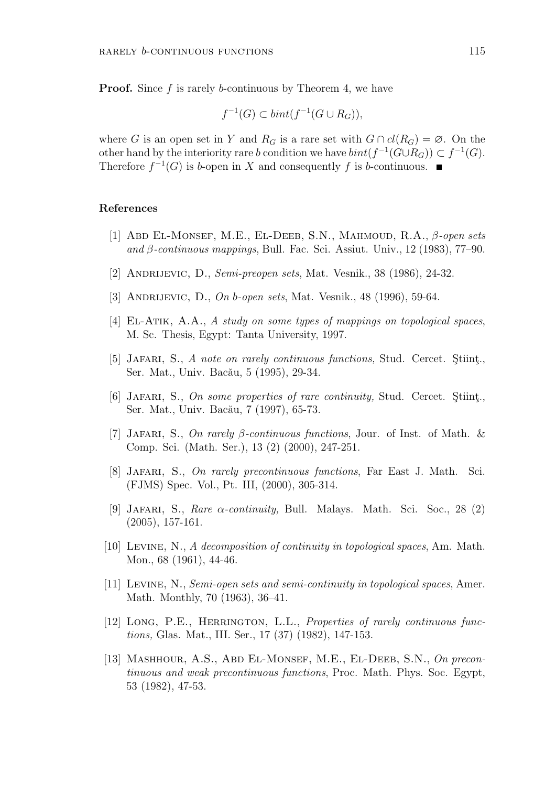**Proof.** Since f is rarely *b*-continuous by Theorem 4, we have

$$
f^{-1}(G) \subset bint(f^{-1}(G \cup R_G)),
$$

where *G* is an open set in *Y* and  $R_G$  is a rare set with  $G \cap cl(R_G) = \emptyset$ . On the other hand by the interiority rare *b* condition we have  $\text{bint}(f^{-1}(G \cup R_G)) \subset f^{-1}(G)$ . Therefore  $f^{-1}(G)$  is *b*-open in *X* and consequently *f* is *b*-continuous.

#### **References**

- [1] Abd El-Monsef, M.E., El-Deeb, S.N., Mahmoud, R.A., *β-open sets and β-continuous mappings*, Bull. Fac. Sci. Assiut. Univ., 12 (1983), 77–90.
- [2] Andrijevic, D., *Semi-preopen sets*, Mat. Vesnik., 38 (1986), 24-32.
- [3] Andrijevic, D., *On b-open sets*, Mat. Vesnik., 48 (1996), 59-64.
- [4] El-Atik, A.A., *A study on some types of mappings on topological spaces*, M. Sc. Thesis, Egypt: Tanta University, 1997.
- [5] JAFARI, S., *A note on rarely continuous functions*, Stud. Cercet. Stiint<sub>1</sub>. Ser. Mat., Univ. Bacău, 5 (1995), 29-34.
- [6] JAFARI, S., *On some properties of rare continuity*, Stud. Cercet. Stiint., Ser. Mat., Univ. Bacău, 7 (1997), 65-73.
- [7] Jafari, S., *On rarely β-continuous functions*, Jour. of Inst. of Math. & Comp. Sci. (Math. Ser.), 13 (2) (2000), 247-251.
- [8] Jafari, S., *On rarely precontinuous functions*, Far East J. Math. Sci. (FJMS) Spec. Vol., Pt. III, (2000), 305-314.
- [9] Jafari, S., *Rare α-continuity,* Bull. Malays. Math. Sci. Soc., 28 (2) (2005), 157-161.
- [10] Levine, N., *A decomposition of continuity in topological spaces*, Am. Math. Mon., 68 (1961), 44-46.
- [11] Levine, N., *Semi-open sets and semi-continuity in topological spaces*, Amer. Math. Monthly, 70 (1963), 36–41.
- [12] Long, P.E., Herrington, L.L., *Properties of rarely continuous functions,* Glas. Mat., III. Ser., 17 (37) (1982), 147-153.
- [13] Mashhour, A.S., Abd El-Monsef, M.E., El-Deeb, S.N., *On precontinuous and weak precontinuous functions*, Proc. Math. Phys. Soc. Egypt, 53 (1982), 47-53.